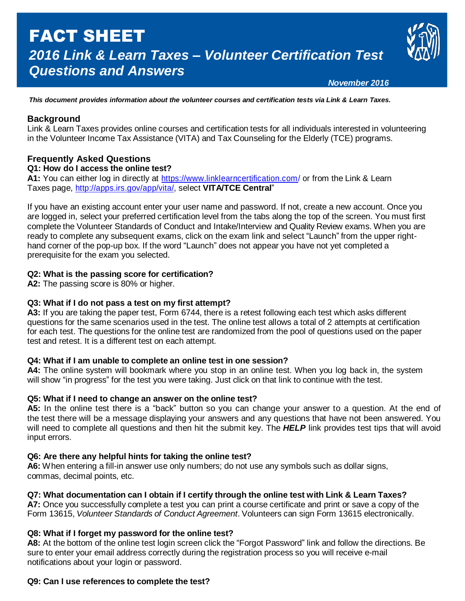# FACT SHEET *2016 Link & Learn Taxes – Volunteer Certification Test Questions and Answers*



 *November 2016*

*This document provides information about the volunteer courses and certification tests via Link & Learn Taxes.*

# **Background**

Link & Learn Taxes provides online courses and certification tests for all individuals interested in volunteering in the Volunteer Income Tax Assistance (VITA) and Tax Counseling for the Elderly (TCE) programs.

# **Frequently Asked Questions**

## **Q1: How do I access the online test?**

**A1:** You can either log in directly at <https://www.linklearncertification.com/> or from the Link & Learn Taxes page, [http://apps.irs.gov/app/vita/,](http://apps.irs.gov/app/vita/) select **VITA/TCE Central**"

If you have an existing account enter your user name and password. If not, create a new account. Once you are logged in, select your preferred certification level from the tabs along the top of the screen. You must first complete the Volunteer Standards of Conduct and Intake/Interview and Quality Review exams. When you are ready to complete any subsequent exams, click on the exam link and select "Launch" from the upper righthand corner of the pop-up box. If the word "Launch" does not appear you have not yet completed a prerequisite for the exam you selected.

## **Q2: What is the passing score for certification?**

**A2:** The passing score is 80% or higher.

#### **Q3: What if I do not pass a test on my first attempt?**

**A3:** If you are taking the paper test, Form 6744, there is a retest following each test which asks different questions for the same scenarios used in the test. The online test allows a total of 2 attempts at certification for each test. The questions for the online test are randomized from the pool of questions used on the paper test and retest. It is a different test on each attempt.

#### **Q4: What if I am unable to complete an online test in one session?**

**A4:** The online system will bookmark where you stop in an online test. When you log back in, the system will show "in progress" for the test you were taking. Just click on that link to continue with the test.

#### **Q5: What if I need to change an answer on the online test?**

**A5:** In the online test there is a "back" button so you can change your answer to a question. At the end of the test there will be a message displaying your answers and any questions that have not been answered. You will need to complete all questions and then hit the submit key. The *HELP* link provides test tips that will avoid input errors.

# **Q6: Are there any helpful hints for taking the online test?**

**A6:** When entering a fill-in answer use only numbers; do not use any symbols such as dollar signs, commas, decimal points, etc.

# **Q7: What documentation can I obtain if I certify through the online test with Link & Learn Taxes?**

**A7:** Once you successfully complete a test you can print a course certificate and print or save a copy of the Form 13615, *Volunteer Standards of Conduct Agreement*. Volunteers can sign Form 13615 electronically.

# **Q8: What if I forget my password for the online test?**

**A8:** At the bottom of the online test login screen click the "Forgot Password" link and follow the directions. Be sure to enter your email address correctly during the registration process so you will receive e-mail notifications about your login or password.

# **Q9: Can I use references to complete the test?**